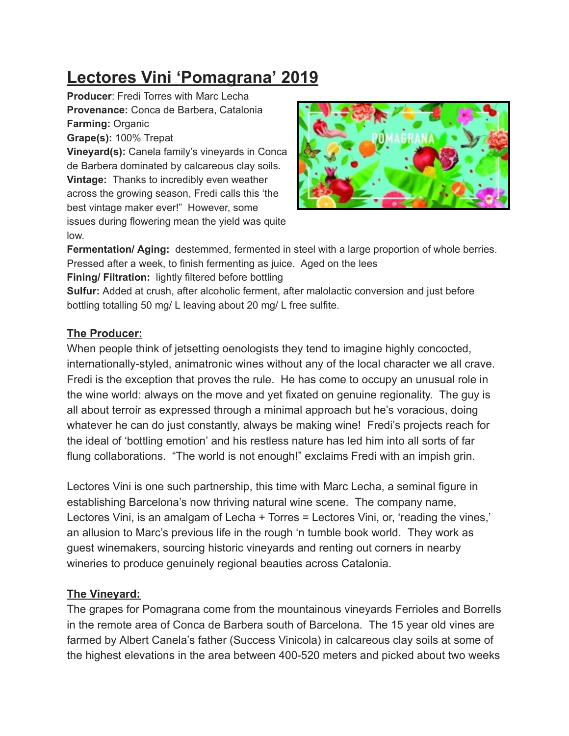## **Lectores Vini 'Pomagrana' 2019**

**Producer**: Fredi Torres with Marc Lecha **Provenance:** Conca de Barbera, Catalonia **Farming:** Organic

**Grape(s):** 100% Trepat

**Vineyard(s):** Canela family's vineyards in Conca de Barbera dominated by calcareous clay soils. **Vintage:** Thanks to incredibly even weather across the growing season, Fredi calls this 'the best vintage maker ever!" However, some issues during flowering mean the yield was quite low.



**Fermentation/ Aging:** destemmed, fermented in steel with a large proportion of whole berries. Pressed after a week, to finish fermenting as juice. Aged on the lees

**Fining/ Filtration:** lightly filtered before bottling

**Sulfur:** Added at crush, after alcoholic ferment, after malolactic conversion and just before bottling totalling 50 mg/ L leaving about 20 mg/ L free sulfite.

## **The Producer:**

When people think of jetsetting oenologists they tend to imagine highly concocted, internationally-styled, animatronic wines without any of the local character we all crave. Fredi is the exception that proves the rule. He has come to occupy an unusual role in the wine world: always on the move and yet fixated on genuine regionality. The guy is all about terroir as expressed through a minimal approach but he's voracious, doing whatever he can do just constantly, always be making wine! Fredi's projects reach for the ideal of 'bottling emotion' and his restless nature has led him into all sorts of far flung collaborations. "The world is not enough!" exclaims Fredi with an impish grin.

Lectores Vini is one such partnership, this time with Marc Lecha, a seminal figure in establishing Barcelona's now thriving natural wine scene. The company name, Lectores Vini, is an amalgam of Lecha + Torres = Lectores Vini, or, 'reading the vines,' an allusion to Marc's previous life in the rough 'n tumble book world. They work as guest winemakers, sourcing historic vineyards and renting out corners in nearby wineries to produce genuinely regional beauties across Catalonia.

## **The Vineyard:**

The grapes for Pomagrana come from the mountainous vineyards Ferrioles and Borrells in the remote area of Conca de Barbera south of Barcelona. The 15 year old vines are farmed by Albert Canela's father (Success Vinicola) in calcareous clay soils at some of the highest elevations in the area between 400-520 meters and picked about two weeks